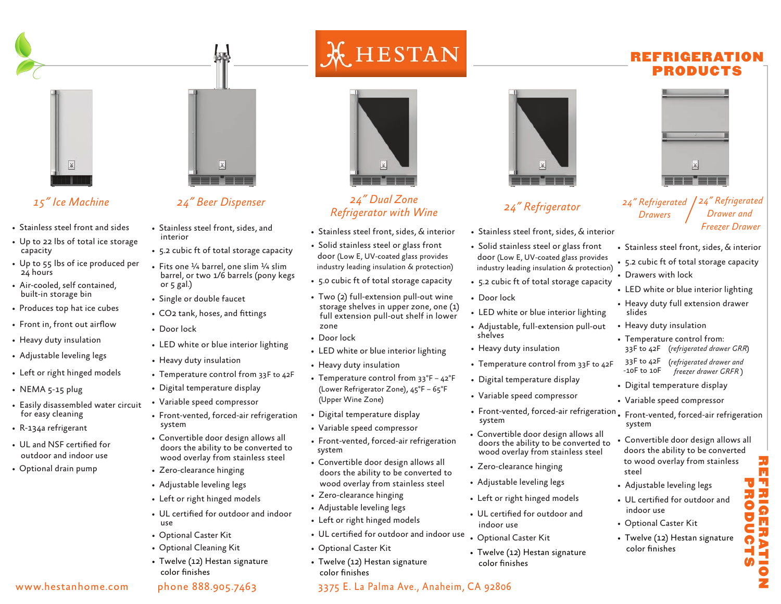

- Stainless steel front and sides
- Up to 22 lbs of total ice storage capacity
- Up to 55 lbs of ice produced per 24 hours
- Air-cooled, self contained, built-in storage bin
- Produces top hat ice cubes
- Front in, front out airflow
- Heavy duty insulation
- Adjustable leveling legs
- Left or right hinged models
- NEMA 5-15 plug
- Easily disassembled water circuit for easy cleaning
- R-134a refrigerant
- UL and NSF certified for outdoor and indoor use
- Optional drain pump



- Stainless steel front, sides, and interior
- 5.2 cubic ft of total storage capacity
- Fits one  $\frac{1}{4}$  barrel, one slim  $\frac{1}{4}$  slim barrel, or two 1/6 barrels (pony kegs or 5 gal.)
- Single or double faucet
- CO2 tank, hoses, and fittings
- Door lock
- LED white or blue interior lighting
- Heavy duty insulation
- Temperature control from 33F to 42F
- Digital temperature display
- Variable speed compressor
- Front-vented, forced-air refrigeration system
- Convertible door design allows all doors the ability to be converted to wood overlay from stainless steel
- Zero-clearance hinging
- Adjustable leveling legs
- Left or right hinged models
- UL certified for outdoor and indoor use
- Optional Caster Kit
- Optional Cleaning Kit
- Twelve (12) Hestan signature color finishes



 $\mathcal{K}$  HESTAN

## *15" Ice Machine 24" Beer Dispenser 24" Refrigerated 24" Dual Zone*

- Stainless steel front, sides, & interior
- Solid stainless steel or glass front door (Low E, UV-coated glass provides industry leading insulation & protection)
- 5.0 cubic ft of total storage capacity
- Two (2) full-extension pull-out wine storage shelves in upper zone, one (1) full extension pull-out shelf in lower zone
- Door lock
- LED white or blue interior lighting
- Heavy duty insulation
- Temperature control from 33°F 42°F (Lower Refrigerator Zone), 45°F – 65°F (Upper Wine Zone)
- Digital temperature display
- Variable speed compressor
- Front-vented, forced-air refrigeration system
- Convertible door design allows all doors the ability to be converted to wood overlay from stainless steel
- Zero-clearance hinging
- Adjustable leveling legs
- Left or right hinged models
- UL certified for outdoor and indoor use
- Optional Caster Kit
- Twelve (12) Hestan signature color finishes





- Stainless steel front, sides, & interior
- Solid stainless steel or glass front door (Low E, UV-coated glass provides industry leading insulation & protection)
- 5.2 cubic ft of total storage capacity
- Door lock
- LED white or blue interior lighting
- Adjustable, full-extension pull-out shelves
- Heavy duty insulation
- Temperature control from 33F to 42F
- Digital temperature display
- Variable speed compressor
- Front-vented, forced-air refrigeration Front-vented, forced-air refrigeration system
- Convertible door design allows all doors the ability to be converted to wood overlay from stainless steel
- Zero-clearance hinging
- Adjustable leveling legs
- Left or right hinged models
- UL certified for outdoor and indoor use
- Optional Caster Kit
- Twelve (12) Hestan signature color finishes

# REFR IGERAT ION PRODUCTS



### *Drawers Refrigerator with Wine 24" Refrigerator 24" Refrigerated Drawer and Freezer Drawer*

- Stainless steel front, sides, & interior
- 5.2 cubic ft of total storage capacity
- Drawers with lock
- LED white or blue interior lighting
- Heavy duty full extension drawer slides
- Heavy duty insulation
- Temperature control from: 33F to 42F (*refrigerated drawer GRR*)
- (*refrigerated drawer and* 33F to 42F  *freezer drawer GRFR* ) -10F to 10F
- Digital temperature display
- Variable speed compressor
- system
- Convertible door design allows all doors the ability to be converted to wood overlay from stainless steel
- Adjustable leveling legs
- UL certified for outdoor and indoor use
- Optional Caster Kit
- Twelve (12) Hestan signature color finishes